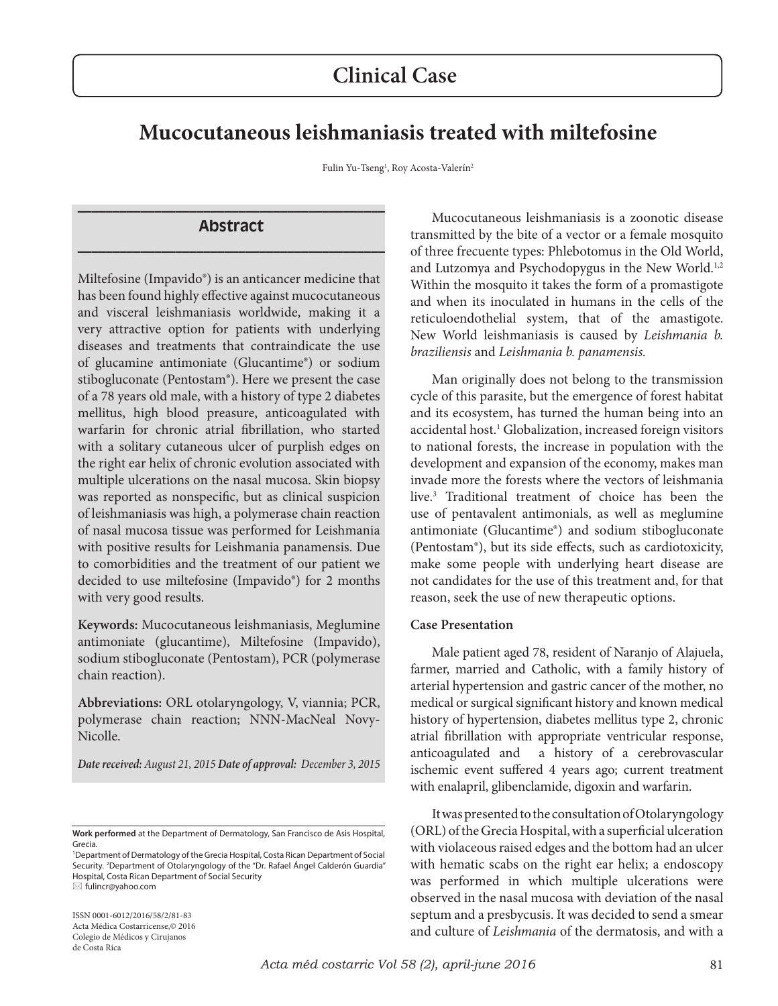# **Mucocutaneous leishmaniasis treated with miltefosine**

Fulin Yu-Tseng<sup>1</sup>, Roy Acosta-Valerín<sup>2</sup>

### **\_\_\_\_\_\_\_\_\_\_\_\_\_\_\_\_\_\_\_\_\_\_\_\_\_\_\_\_\_\_\_\_\_\_\_\_\_\_\_\_\_\_\_\_ Abstract \_\_\_\_\_\_\_\_\_\_\_\_\_\_\_\_\_\_\_\_\_\_\_\_\_\_\_\_\_\_\_\_\_\_\_\_\_\_\_\_\_\_\_\_**

Miltefosine (Impavido®) is an anticancer medicine that has been found highly effective against mucocutaneous and visceral leishmaniasis worldwide, making it a very attractive option for patients with underlying diseases and treatments that contraindicate the use of glucamine antimoniate (Glucantime®) or sodium stibogluconate (Pentostam®). Here we present the case of a 78 years old male, with a history of type 2 diabetes mellitus, high blood preasure, anticoagulated with warfarin for chronic atrial fibrillation, who started with a solitary cutaneous ulcer of purplish edges on the right ear helix of chronic evolution associated with multiple ulcerations on the nasal mucosa. Skin biopsy was reported as nonspecific, but as clinical suspicion of leishmaniasis was high, a polymerase chain reaction of nasal mucosa tissue was performed for Leishmania with positive results for Leishmania panamensis. Due to comorbidities and the treatment of our patient we decided to use miltefosine (Impavido®) for 2 months with very good results.

**Keywords:** Mucocutaneous leishmaniasis, Meglumine antimoniate (glucantime), Miltefosine (Impavido), sodium stibogluconate (Pentostam), PCR (polymerase chain reaction).

**Abbreviations:** ORL otolaryngology, V, viannia; PCR, polymerase chain reaction; NNN-MacNeal Novy-Nicolle.

*Date received: August 21, 2015 Date of approval: December 3, 2015* 

ISSN 0001-6012/2016/58/2/81-83 Acta Médica Costarricense,© 2016 Colegio de Médicos y Cirujanos de Costa Rica

Mucocutaneous leishmaniasis is a zoonotic disease transmitted by the bite of a vector or a female mosquito of three frecuente types: Phlebotomus in the Old World, and Lutzomya and Psychodopygus in the New World.<sup>1,2</sup> Within the mosquito it takes the form of a promastigote and when its inoculated in humans in the cells of the reticuloendothelial system, that of the amastigote. New World leishmaniasis is caused by *Leishmania b. braziliensis* and *Leishmania b. panamensis.*

Man originally does not belong to the transmission cycle of this parasite, but the emergence of forest habitat and its ecosystem, has turned the human being into an accidental host.1 Globalization, increased foreign visitors to national forests, the increase in population with the development and expansion of the economy, makes man invade more the forests where the vectors of leishmania live.3 Traditional treatment of choice has been the use of pentavalent antimonials, as well as meglumine antimoniate (Glucantime®) and sodium stibogluconate (Pentostam®), but its side effects, such as cardiotoxicity, make some people with underlying heart disease are not candidates for the use of this treatment and, for that reason, seek the use of new therapeutic options.

#### **Case Presentation**

Male patient aged 78, resident of Naranjo of Alajuela, farmer, married and Catholic, with a family history of arterial hypertension and gastric cancer of the mother, no medical or surgical significant history and known medical history of hypertension, diabetes mellitus type 2, chronic atrial fibrillation with appropriate ventricular response, anticoagulated and a history of a cerebrovascular ischemic event suffered 4 years ago; current treatment with enalapril, glibenclamide, digoxin and warfarin.

It was presented to the consultation of Otolaryngology (ORL) of the Grecia Hospital, with a superficial ulceration with violaceous raised edges and the bottom had an ulcer with hematic scabs on the right ear helix; a endoscopy was performed in which multiple ulcerations were observed in the nasal mucosa with deviation of the nasal septum and a presbycusis. It was decided to send a smear and culture of *Leishmania* of the dermatosis, and with a

**Work performed** at the Department of Dermatology, San Francisco de Asis Hospital, Grecia.

<sup>1</sup> Department of Dermatology of the Grecia Hospital, Costa Rican Department of Social Security. <sup>2</sup>Department of Otolaryngology of the "Dr. Rafael Ángel Calderón Guardia" Hospital, Costa Rican Department of Social Security fulincr@yahoo.com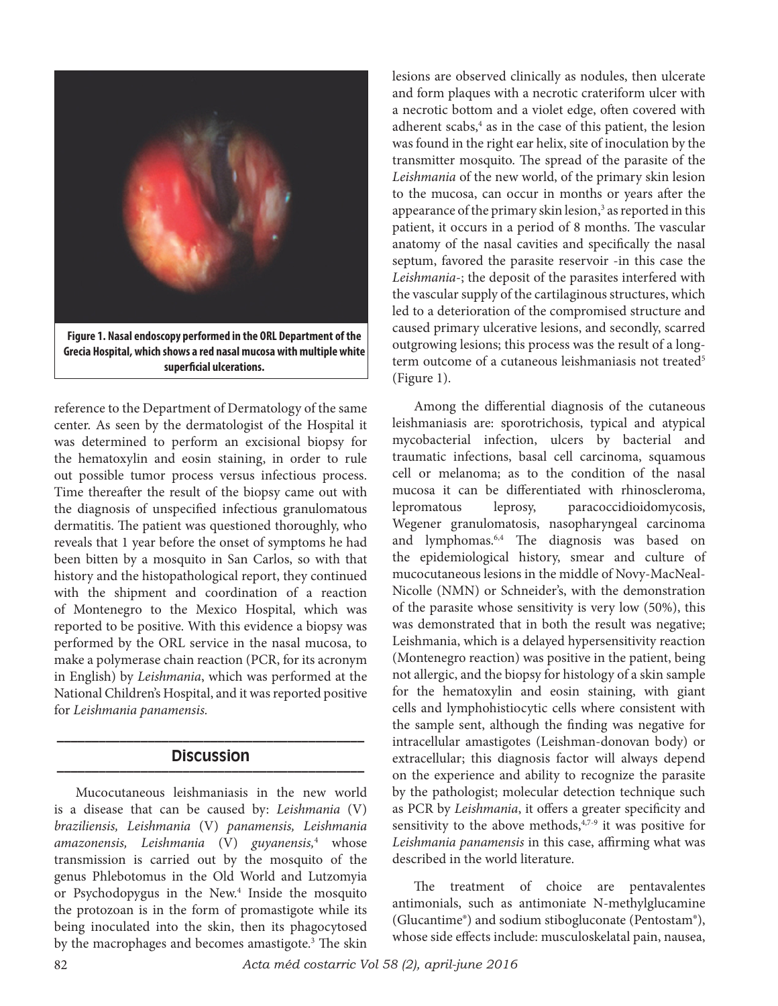

reference to the Department of Dermatology of the same center. As seen by the dermatologist of the Hospital it was determined to perform an excisional biopsy for the hematoxylin and eosin staining, in order to rule out possible tumor process versus infectious process. Time thereafter the result of the biopsy came out with the diagnosis of unspecified infectious granulomatous dermatitis. The patient was questioned thoroughly, who reveals that 1 year before the onset of symptoms he had been bitten by a mosquito in San Carlos, so with that history and the histopathological report, they continued with the shipment and coordination of a reaction of Montenegro to the Mexico Hospital, which was reported to be positive. With this evidence a biopsy was performed by the ORL service in the nasal mucosa, to make a polymerase chain reaction (PCR, for its acronym in English) by *Leishmania*, which was performed at the National Children's Hospital, and it was reported positive for *Leishmania panamensis.*

## **\_\_\_\_\_\_\_\_\_\_\_\_\_\_\_\_\_\_\_\_\_\_\_\_\_\_\_\_\_\_\_\_\_\_\_\_\_\_\_\_\_\_\_\_ Discussion \_\_\_\_\_\_\_\_\_\_\_\_\_\_\_\_\_\_\_\_\_\_\_\_\_\_\_\_\_\_\_\_\_\_\_\_\_\_\_\_\_\_\_\_**

Mucocutaneous leishmaniasis in the new world is a disease that can be caused by: *Leishmania* (V) *braziliensis, Leishmania* (V) *panamensis, Leishmania amazonensis, Leishmania* (V) *guyanensis,*<sup>4</sup> whose transmission is carried out by the mosquito of the genus Phlebotomus in the Old World and Lutzomyia or Psychodopygus in the New.<sup>4</sup> Inside the mosquito the protozoan is in the form of promastigote while its being inoculated into the skin, then its phagocytosed by the macrophages and becomes amastigote.<sup>3</sup> The skin lesions are observed clinically as nodules, then ulcerate and form plaques with a necrotic crateriform ulcer with a necrotic bottom and a violet edge, often covered with adherent scabs,<sup>4</sup> as in the case of this patient, the lesion was found in the right ear helix, site of inoculation by the transmitter mosquito. The spread of the parasite of the *Leishmania* of the new world, of the primary skin lesion to the mucosa, can occur in months or years after the appearance of the primary skin lesion,<sup>3</sup> as reported in this patient, it occurs in a period of 8 months. The vascular anatomy of the nasal cavities and specifically the nasal septum, favored the parasite reservoir -in this case the *Leishmania*-; the deposit of the parasites interfered with the vascular supply of the cartilaginous structures, which led to a deterioration of the compromised structure and caused primary ulcerative lesions, and secondly, scarred outgrowing lesions; this process was the result of a longterm outcome of a cutaneous leishmaniasis not treated<sup>5</sup> (Figure 1).

Among the differential diagnosis of the cutaneous leishmaniasis are: sporotrichosis, typical and atypical mycobacterial infection, ulcers by bacterial and traumatic infections, basal cell carcinoma, squamous cell or melanoma; as to the condition of the nasal mucosa it can be differentiated with rhinoscleroma, lepromatous leprosy, paracoccidioidomycosis, Wegener granulomatosis, nasopharyngeal carcinoma and lymphomas.6,4 The diagnosis was based on the epidemiological history, smear and culture of mucocutaneous lesions in the middle of Novy-MacNeal-Nicolle (NMN) or Schneider's, with the demonstration of the parasite whose sensitivity is very low (50%), this was demonstrated that in both the result was negative; Leishmania, which is a delayed hypersensitivity reaction (Montenegro reaction) was positive in the patient, being not allergic, and the biopsy for histology of a skin sample for the hematoxylin and eosin staining, with giant cells and lymphohistiocytic cells where consistent with the sample sent, although the finding was negative for intracellular amastigotes (Leishman-donovan body) or extracellular; this diagnosis factor will always depend on the experience and ability to recognize the parasite by the pathologist; molecular detection technique such as PCR by *Leishmania*, it offers a greater specificity and sensitivity to the above methods,  $4,7-9$  it was positive for *Leishmania panamensis* in this case, affirming what was described in the world literature.

The treatment of choice are pentavalentes antimonials, such as antimoniate N-methylglucamine (Glucantime®) and sodium stibogluconate (Pentostam®), whose side effects include: musculoskelatal pain, nausea,